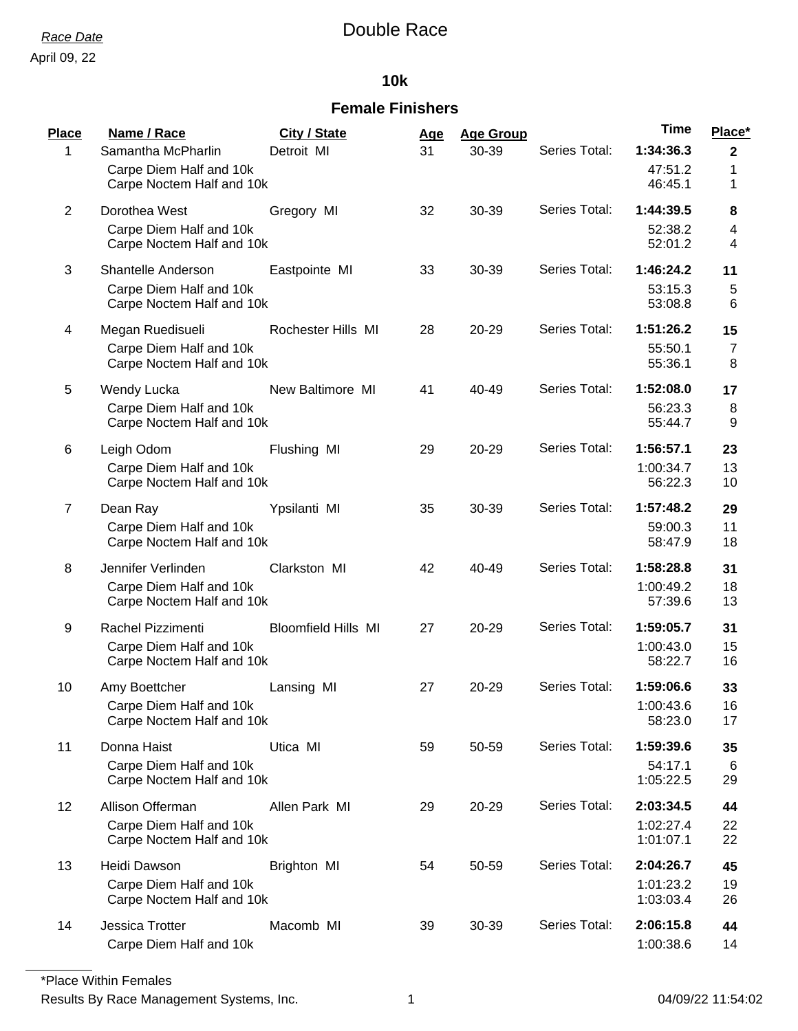### **10k**

## **Female Finishers**

| Place<br>1     | Name / Race<br>Samantha McPharlin<br>Carpe Diem Half and 10k<br>Carpe Noctem Half and 10k | <b>City / State</b><br>Detroit MI | <u>Age</u><br>31 | <b>Age Group</b><br>30-39 | Series Total: | <b>Time</b><br>1:34:36.3<br>47:51.2<br>46:45.1 | Place*<br>$\mathbf{2}$<br>1<br>1 |
|----------------|-------------------------------------------------------------------------------------------|-----------------------------------|------------------|---------------------------|---------------|------------------------------------------------|----------------------------------|
| $\overline{2}$ | Dorothea West<br>Carpe Diem Half and 10k<br>Carpe Noctem Half and 10k                     | Gregory MI                        | 32               | 30-39                     | Series Total: | 1:44:39.5<br>52:38.2<br>52:01.2                | 8<br>4<br>4                      |
| 3              | Shantelle Anderson<br>Carpe Diem Half and 10k<br>Carpe Noctem Half and 10k                | Eastpointe MI                     | 33               | 30-39                     | Series Total: | 1:46:24.2<br>53:15.3<br>53:08.8                | 11<br>5<br>6                     |
| 4              | Megan Ruedisueli<br>Carpe Diem Half and 10k<br>Carpe Noctem Half and 10k                  | Rochester Hills MI                | 28               | 20-29                     | Series Total: | 1:51:26.2<br>55:50.1<br>55:36.1                | 15<br>7<br>8                     |
| 5              | Wendy Lucka<br>Carpe Diem Half and 10k<br>Carpe Noctem Half and 10k                       | New Baltimore MI                  | 41               | 40-49                     | Series Total: | 1:52:08.0<br>56:23.3<br>55:44.7                | 17<br>8<br>9                     |
| 6              | Leigh Odom<br>Carpe Diem Half and 10k<br>Carpe Noctem Half and 10k                        | Flushing MI                       | 29               | 20-29                     | Series Total: | 1:56:57.1<br>1:00:34.7<br>56:22.3              | 23<br>13<br>10                   |
| $\overline{7}$ | Dean Ray<br>Carpe Diem Half and 10k<br>Carpe Noctem Half and 10k                          | Ypsilanti MI                      | 35               | 30-39                     | Series Total: | 1:57:48.2<br>59:00.3<br>58:47.9                | 29<br>11<br>18                   |
| 8              | Jennifer Verlinden<br>Carpe Diem Half and 10k<br>Carpe Noctem Half and 10k                | Clarkston MI                      | 42               | 40-49                     | Series Total: | 1:58:28.8<br>1:00:49.2<br>57:39.6              | 31<br>18<br>13                   |
| 9              | Rachel Pizzimenti<br>Carpe Diem Half and 10k<br>Carpe Noctem Half and 10k                 | <b>Bloomfield Hills MI</b>        | 27               | 20-29                     | Series Total: | 1:59:05.7<br>1:00:43.0<br>58:22.7              | 31<br>15<br>16                   |
| 10             | Amy Boettcher<br>Carpe Diem Half and 10k<br>Carpe Noctem Half and 10k                     | Lansing MI                        | 27               | 20-29                     | Series Total: | 1:59:06.6<br>1:00:43.6<br>58:23.0              | 33<br>16<br>17                   |
| 11             | Donna Haist<br>Carpe Diem Half and 10k<br>Carpe Noctem Half and 10k                       | Utica MI                          | 59               | 50-59                     | Series Total: | 1:59:39.6<br>54:17.1<br>1:05:22.5              | 35<br>6<br>29                    |
| 12             | Allison Offerman<br>Carpe Diem Half and 10k<br>Carpe Noctem Half and 10k                  | Allen Park MI                     | 29               | 20-29                     | Series Total: | 2:03:34.5<br>1:02:27.4<br>1:01:07.1            | 44<br>22<br>22                   |
| 13             | Heidi Dawson<br>Carpe Diem Half and 10k<br>Carpe Noctem Half and 10k                      | Brighton MI                       | 54               | 50-59                     | Series Total: | 2:04:26.7<br>1:01:23.2<br>1:03:03.4            | 45<br>19<br>26                   |
| 14             | Jessica Trotter<br>Carpe Diem Half and 10k                                                | Macomb MI                         | 39               | 30-39                     | Series Total: | 2:06:15.8<br>1:00:38.6                         | 44<br>14                         |

\*Place Within Females

Results By Race Management Systems, Inc. 1 04/09/22 11:54:02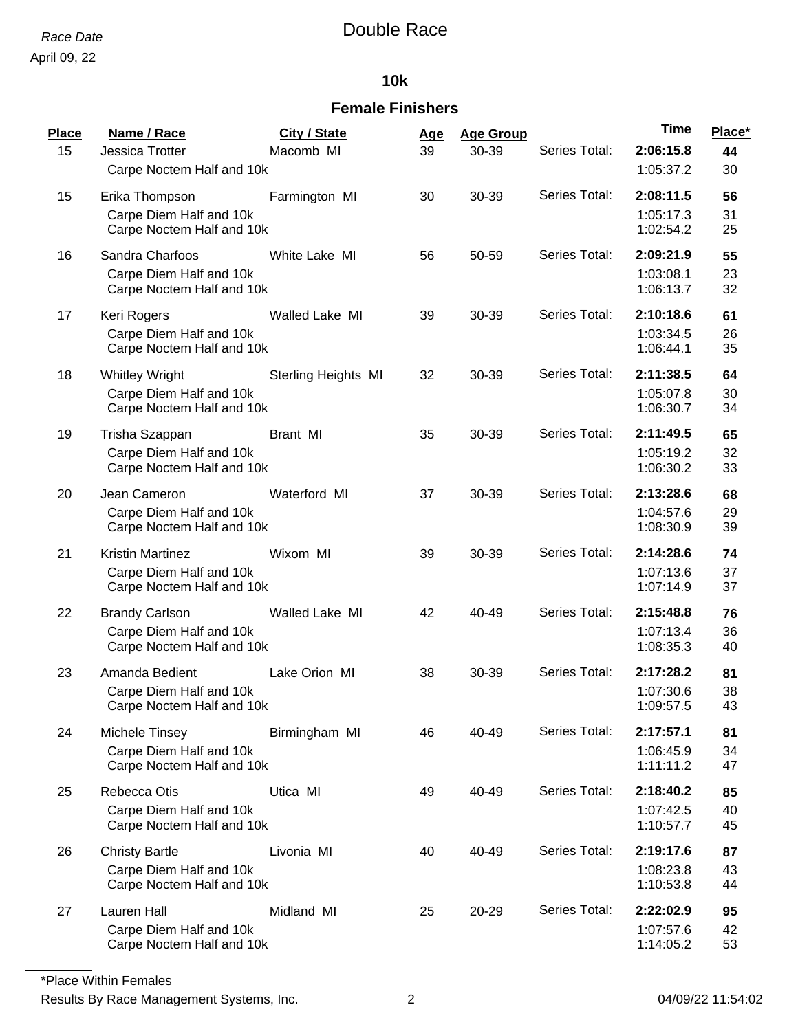April 09, 22

### **10k**

## **Female Finishers**

| Place<br>15 | Name / Race<br>Jessica Trotter<br>Carpe Noctem Half and 10k                     | City / State<br>Macomb MI | <u>Age</u><br>39 | <b>Age Group</b><br>30-39 | Series Total: | <b>Time</b><br>2:06:15.8<br>1:05:37.2 | Place*<br>44<br>30 |
|-------------|---------------------------------------------------------------------------------|---------------------------|------------------|---------------------------|---------------|---------------------------------------|--------------------|
| 15          | Erika Thompson<br>Carpe Diem Half and 10k<br>Carpe Noctem Half and 10k          | Farmington MI             | 30               | 30-39                     | Series Total: | 2:08:11.5<br>1:05:17.3<br>1:02:54.2   | 56<br>31<br>25     |
| 16          | Sandra Charfoos<br>Carpe Diem Half and 10k<br>Carpe Noctem Half and 10k         | White Lake MI             | 56               | 50-59                     | Series Total: | 2:09:21.9<br>1:03:08.1<br>1:06:13.7   | 55<br>23<br>32     |
| 17          | Keri Rogers<br>Carpe Diem Half and 10k<br>Carpe Noctem Half and 10k             | Walled Lake MI            | 39               | 30-39                     | Series Total: | 2:10:18.6<br>1:03:34.5<br>1:06:44.1   | 61<br>26<br>35     |
| 18          | <b>Whitley Wright</b><br>Carpe Diem Half and 10k<br>Carpe Noctem Half and 10k   | Sterling Heights MI       | 32               | 30-39                     | Series Total: | 2:11:38.5<br>1:05:07.8<br>1:06:30.7   | 64<br>30<br>34     |
| 19          | Trisha Szappan<br>Carpe Diem Half and 10k<br>Carpe Noctem Half and 10k          | Brant MI                  | 35               | 30-39                     | Series Total: | 2:11:49.5<br>1:05:19.2<br>1:06:30.2   | 65<br>32<br>33     |
| 20          | Jean Cameron<br>Carpe Diem Half and 10k<br>Carpe Noctem Half and 10k            | Waterford MI              | 37               | 30-39                     | Series Total: | 2:13:28.6<br>1:04:57.6<br>1:08:30.9   | 68<br>29<br>39     |
| 21          | <b>Kristin Martinez</b><br>Carpe Diem Half and 10k<br>Carpe Noctem Half and 10k | Wixom MI                  | 39               | 30-39                     | Series Total: | 2:14:28.6<br>1:07:13.6<br>1:07:14.9   | 74<br>37<br>37     |
| 22          | <b>Brandy Carlson</b><br>Carpe Diem Half and 10k<br>Carpe Noctem Half and 10k   | Walled Lake MI            | 42               | 40-49                     | Series Total: | 2:15:48.8<br>1:07:13.4<br>1:08:35.3   | 76<br>36<br>40     |
| 23          | Amanda Bedient<br>Carpe Diem Half and 10k<br>Carpe Noctem Half and 10k          | Lake Orion MI             | 38               | 30-39                     | Series Total: | 2:17:28.2<br>1:07:30.6<br>1:09:57.5   | 81<br>38<br>43     |
| 24          | Michele Tinsey<br>Carpe Diem Half and 10k<br>Carpe Noctem Half and 10k          | Birmingham MI             | 46               | 40-49                     | Series Total: | 2:17:57.1<br>1:06:45.9<br>1:11:11.2   | 81<br>34<br>47     |
| 25          | Rebecca Otis<br>Carpe Diem Half and 10k<br>Carpe Noctem Half and 10k            | Utica MI                  | 49               | 40-49                     | Series Total: | 2:18:40.2<br>1:07:42.5<br>1:10:57.7   | 85<br>40<br>45     |
| 26          | <b>Christy Bartle</b><br>Carpe Diem Half and 10k<br>Carpe Noctem Half and 10k   | Livonia MI                | 40               | 40-49                     | Series Total: | 2:19:17.6<br>1:08:23.8<br>1:10:53.8   | 87<br>43<br>44     |
| 27          | <b>Lauren Hall</b><br>Carpe Diem Half and 10k<br>Carpe Noctem Half and 10k      | Midland MI                | 25               | 20-29                     | Series Total: | 2:22:02.9<br>1:07:57.6<br>1:14:05.2   | 95<br>42<br>53     |

\*Place Within Females

Results By Race Management Systems, Inc. 2 2 2 04/09/22 11:54:02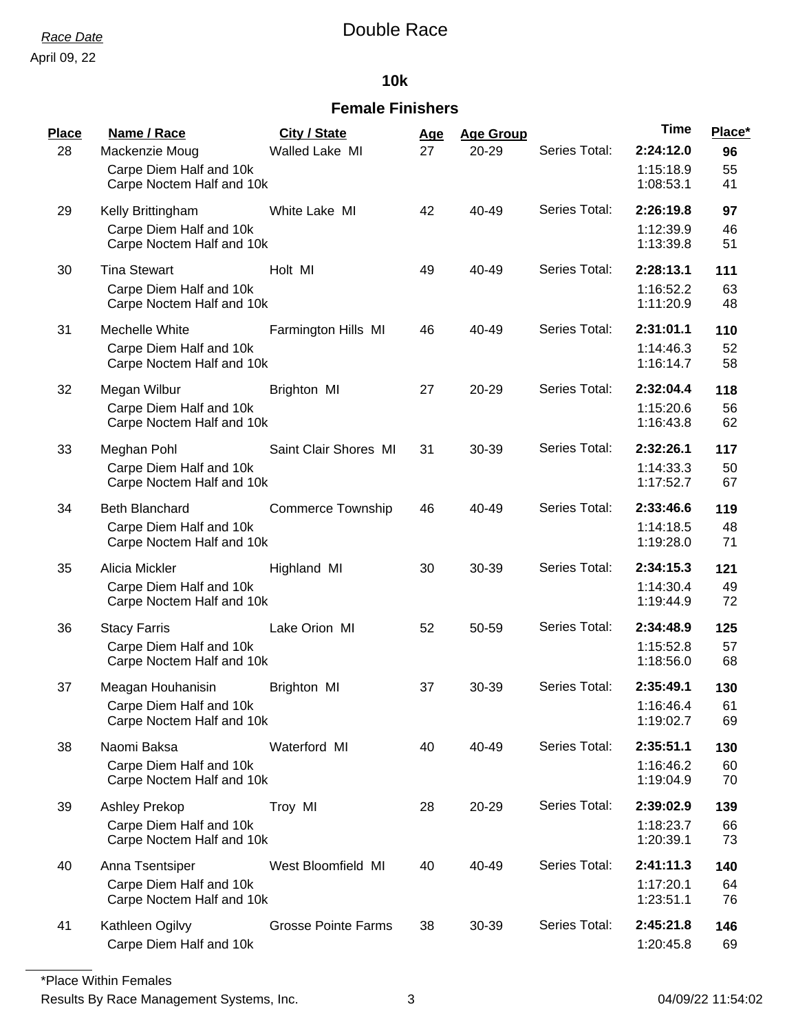#### **10k**

## **Female Finishers**

| Place<br>28 | Name / Race<br>Mackenzie Moug<br>Carpe Diem Half and 10k<br>Carpe Noctem Half and 10k | City / State<br>Walled Lake MI | <u>Age</u><br>27 | <b>Age Group</b><br>20-29 | Series Total: | <b>Time</b><br>2:24:12.0<br>1:15:18.9<br>1:08:53.1 | Place*<br>96<br>55<br>41 |
|-------------|---------------------------------------------------------------------------------------|--------------------------------|------------------|---------------------------|---------------|----------------------------------------------------|--------------------------|
| 29          | Kelly Brittingham<br>Carpe Diem Half and 10k<br>Carpe Noctem Half and 10k             | White Lake MI                  | 42               | 40-49                     | Series Total: | 2:26:19.8<br>1:12:39.9<br>1:13:39.8                | 97<br>46<br>51           |
| 30          | <b>Tina Stewart</b><br>Carpe Diem Half and 10k<br>Carpe Noctem Half and 10k           | Holt MI                        | 49               | 40-49                     | Series Total: | 2:28:13.1<br>1:16:52.2<br>1:11:20.9                | 111<br>63<br>48          |
| 31          | Mechelle White<br>Carpe Diem Half and 10k<br>Carpe Noctem Half and 10k                | Farmington Hills MI            | 46               | 40-49                     | Series Total: | 2:31:01.1<br>1:14:46.3<br>1:16:14.7                | 110<br>52<br>58          |
| 32          | Megan Wilbur<br>Carpe Diem Half and 10k<br>Carpe Noctem Half and 10k                  | Brighton MI                    | 27               | 20-29                     | Series Total: | 2:32:04.4<br>1:15:20.6<br>1:16:43.8                | 118<br>56<br>62          |
| 33          | Meghan Pohl<br>Carpe Diem Half and 10k<br>Carpe Noctem Half and 10k                   | Saint Clair Shores MI          | 31               | 30-39                     | Series Total: | 2:32:26.1<br>1:14:33.3<br>1:17:52.7                | 117<br>50<br>67          |
| 34          | <b>Beth Blanchard</b><br>Carpe Diem Half and 10k<br>Carpe Noctem Half and 10k         | <b>Commerce Township</b>       | 46               | 40-49                     | Series Total: | 2:33:46.6<br>1:14:18.5<br>1:19:28.0                | 119<br>48<br>71          |
| 35          | Alicia Mickler<br>Carpe Diem Half and 10k<br>Carpe Noctem Half and 10k                | Highland MI                    | 30               | 30-39                     | Series Total: | 2:34:15.3<br>1:14:30.4<br>1:19:44.9                | 121<br>49<br>72          |
| 36          | <b>Stacy Farris</b><br>Carpe Diem Half and 10k<br>Carpe Noctem Half and 10k           | Lake Orion MI                  | 52               | 50-59                     | Series Total: | 2:34:48.9<br>1:15:52.8<br>1:18:56.0                | 125<br>57<br>68          |
| 37          | Meagan Houhanisin<br>Carpe Diem Half and 10k<br>Carpe Noctem Half and 10k             | Brighton MI                    | 37               | 30-39                     | Series Total: | 2:35:49.1<br>1:16:46.4<br>1:19:02.7                | 130<br>61<br>69          |
| 38          | Naomi Baksa<br>Carpe Diem Half and 10k<br>Carpe Noctem Half and 10k                   | Waterford MI                   | 40               | 40-49                     | Series Total: | 2:35:51.1<br>1:16:46.2<br>1:19:04.9                | 130<br>60<br>70          |
| 39          | <b>Ashley Prekop</b><br>Carpe Diem Half and 10k<br>Carpe Noctem Half and 10k          | Troy MI                        | 28               | 20-29                     | Series Total: | 2:39:02.9<br>1:18:23.7<br>1:20:39.1                | 139<br>66<br>73          |
| 40          | Anna Tsentsiper<br>Carpe Diem Half and 10k<br>Carpe Noctem Half and 10k               | West Bloomfield MI             | 40               | 40-49                     | Series Total: | 2:41:11.3<br>1:17:20.1<br>1:23:51.1                | 140<br>64<br>76          |
| 41          | Kathleen Ogilvy<br>Carpe Diem Half and 10k                                            | <b>Grosse Pointe Farms</b>     | 38               | 30-39                     | Series Total: | 2:45:21.8<br>1:20:45.8                             | 146<br>69                |

\*Place Within Females

Results By Race Management Systems, Inc. 3 3 3 04/09/22 11:54:02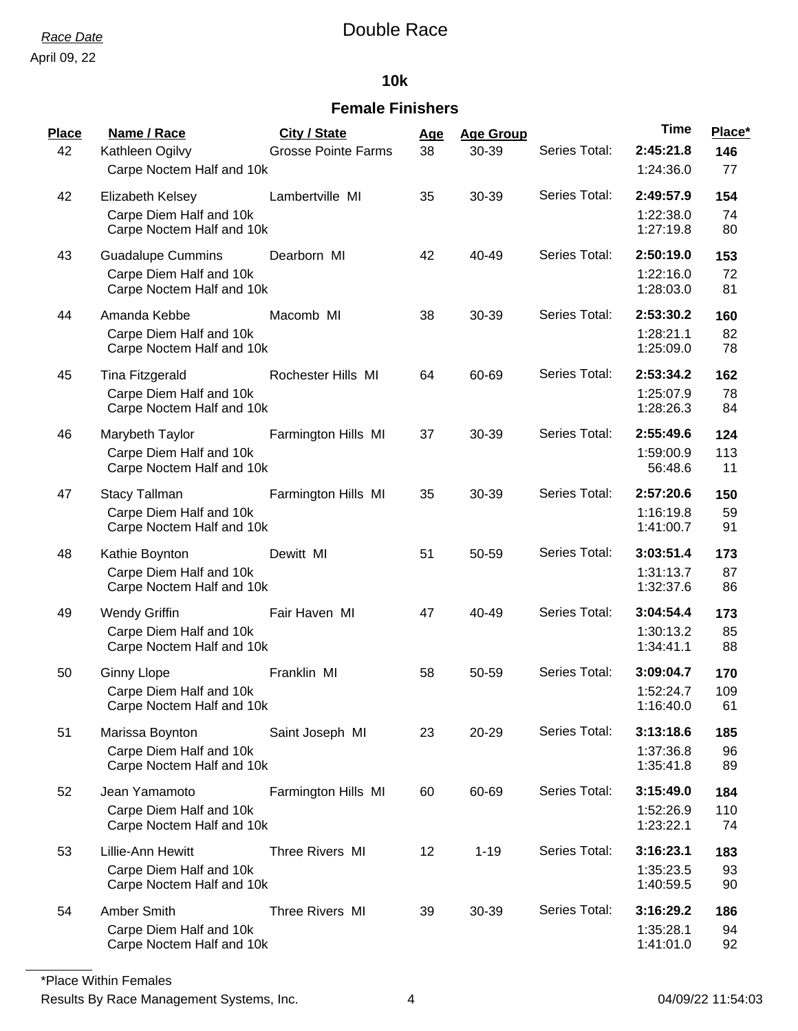## **10k**

## **Female Finishers**

| Place | Name / Race                                                                      | <b>City / State</b>        | <u>Age</u> | <b>Age Group</b> |               | <b>Time</b>                         | Place*           |
|-------|----------------------------------------------------------------------------------|----------------------------|------------|------------------|---------------|-------------------------------------|------------------|
| 42    | Kathleen Ogilvy<br>Carpe Noctem Half and 10k                                     | <b>Grosse Pointe Farms</b> | 38         | 30-39            | Series Total: | 2:45:21.8<br>1:24:36.0              | 146<br>77        |
| 42    | Elizabeth Kelsey<br>Carpe Diem Half and 10k<br>Carpe Noctem Half and 10k         | Lambertville MI            | 35         | 30-39            | Series Total: | 2:49:57.9<br>1:22:38.0<br>1:27:19.8 | 154<br>74<br>80  |
| 43    | <b>Guadalupe Cummins</b><br>Carpe Diem Half and 10k<br>Carpe Noctem Half and 10k | Dearborn MI                | 42         | 40-49            | Series Total: | 2:50:19.0<br>1:22:16.0<br>1:28:03.0 | 153<br>72<br>81  |
| 44    | Amanda Kebbe<br>Carpe Diem Half and 10k<br>Carpe Noctem Half and 10k             | Macomb MI                  | 38         | 30-39            | Series Total: | 2:53:30.2<br>1:28:21.1<br>1:25:09.0 | 160<br>82<br>78  |
| 45    | Tina Fitzgerald<br>Carpe Diem Half and 10k<br>Carpe Noctem Half and 10k          | Rochester Hills MI         | 64         | 60-69            | Series Total: | 2:53:34.2<br>1:25:07.9<br>1:28:26.3 | 162<br>78<br>84  |
| 46    | Marybeth Taylor<br>Carpe Diem Half and 10k<br>Carpe Noctem Half and 10k          | Farmington Hills MI        | 37         | 30-39            | Series Total: | 2:55:49.6<br>1:59:00.9<br>56:48.6   | 124<br>113<br>11 |
| 47    | <b>Stacy Tallman</b><br>Carpe Diem Half and 10k<br>Carpe Noctem Half and 10k     | Farmington Hills MI        | 35         | 30-39            | Series Total: | 2:57:20.6<br>1:16:19.8<br>1:41:00.7 | 150<br>59<br>91  |
| 48    | Kathie Boynton<br>Carpe Diem Half and 10k<br>Carpe Noctem Half and 10k           | Dewitt MI                  | 51         | 50-59            | Series Total: | 3:03:51.4<br>1:31:13.7<br>1:32:37.6 | 173<br>87<br>86  |
| 49    | <b>Wendy Griffin</b><br>Carpe Diem Half and 10k<br>Carpe Noctem Half and 10k     | Fair Haven MI              | 47         | 40-49            | Series Total: | 3:04:54.4<br>1:30:13.2<br>1:34:41.1 | 173<br>85<br>88  |
| 50    | <b>Ginny Llope</b><br>Carpe Diem Half and 10k<br>Carpe Noctem Half and 10k       | Franklin MI                | 58         | 50-59            | Series Total: | 3:09:04.7<br>1:52:24.7<br>1:16:40.0 | 170<br>109<br>61 |
| 51    | Marissa Boynton<br>Carpe Diem Half and 10k<br>Carpe Noctem Half and 10k          | Saint Joseph MI            | 23         | 20-29            | Series Total: | 3:13:18.6<br>1:37:36.8<br>1:35:41.8 | 185<br>96<br>89  |
| 52    | Jean Yamamoto<br>Carpe Diem Half and 10k<br>Carpe Noctem Half and 10k            | Farmington Hills MI        | 60         | 60-69            | Series Total: | 3:15:49.0<br>1:52:26.9<br>1:23:22.1 | 184<br>110<br>74 |
| 53    | Lillie-Ann Hewitt<br>Carpe Diem Half and 10k<br>Carpe Noctem Half and 10k        | Three Rivers MI            | 12         | $1 - 19$         | Series Total: | 3:16:23.1<br>1:35:23.5<br>1:40:59.5 | 183<br>93<br>90  |
| 54    | Amber Smith<br>Carpe Diem Half and 10k<br>Carpe Noctem Half and 10k              | Three Rivers MI            | 39         | 30-39            | Series Total: | 3:16:29.2<br>1:35:28.1<br>1:41:01.0 | 186<br>94<br>92  |

\*Place Within Females

Results By Race Management Systems, Inc. 4 4 4 04/09/22 11:54:03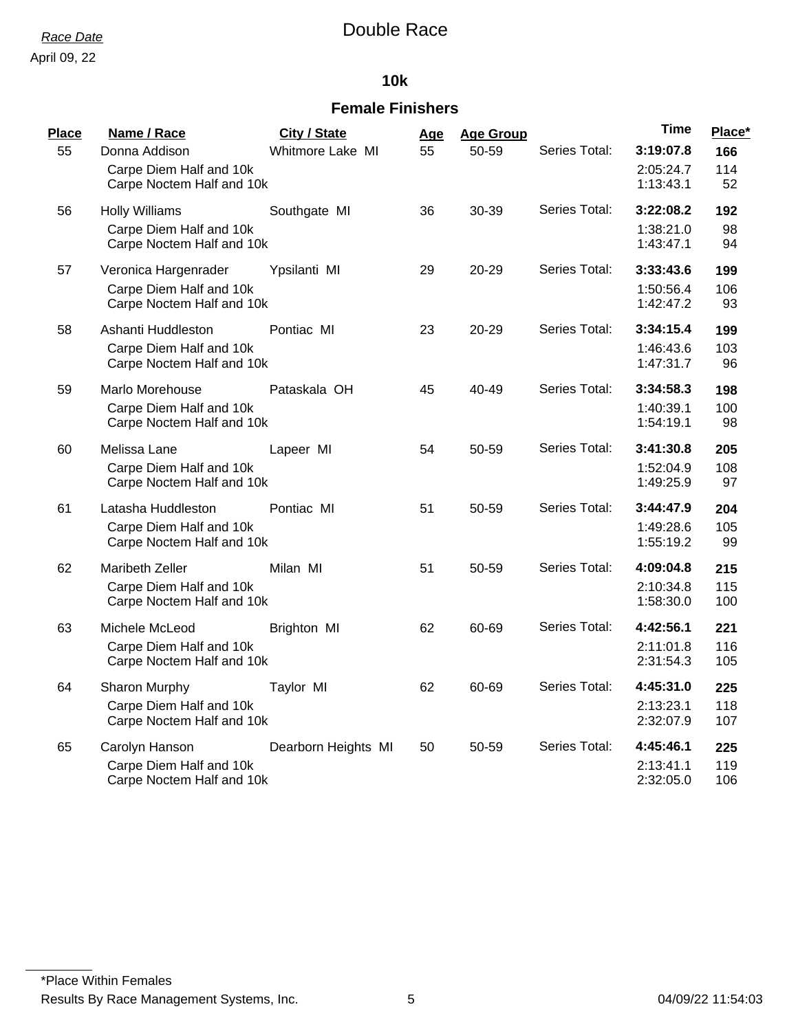#### **10k**

### **Female Finishers**

| Place<br>55 | Name / Race<br>Donna Addison                                                   | City / State<br>Whitmore Lake MI | <u>Age</u><br>55 | <b>Age Group</b><br>50-59 | Series Total: | <b>Time</b><br>3:19:07.8            | Place*<br>166     |
|-------------|--------------------------------------------------------------------------------|----------------------------------|------------------|---------------------------|---------------|-------------------------------------|-------------------|
|             | Carpe Diem Half and 10k<br>Carpe Noctem Half and 10k                           |                                  |                  |                           |               | 2:05:24.7<br>1:13:43.1              | 114<br>52         |
| 56          | <b>Holly Williams</b><br>Carpe Diem Half and 10k<br>Carpe Noctem Half and 10k  | Southgate MI                     | 36               | 30-39                     | Series Total: | 3:22:08.2<br>1:38:21.0<br>1:43:47.1 | 192<br>98<br>94   |
| 57          | Veronica Hargenrader<br>Carpe Diem Half and 10k<br>Carpe Noctem Half and 10k   | Ypsilanti MI                     | 29               | 20-29                     | Series Total: | 3:33:43.6<br>1:50:56.4<br>1:42:47.2 | 199<br>106<br>93  |
| 58          | Ashanti Huddleston<br>Carpe Diem Half and 10k<br>Carpe Noctem Half and 10k     | Pontiac MI                       | 23               | $20 - 29$                 | Series Total: | 3:34:15.4<br>1:46:43.6<br>1:47:31.7 | 199<br>103<br>96  |
| 59          | Marlo Morehouse<br>Carpe Diem Half and 10k<br>Carpe Noctem Half and 10k        | Pataskala OH                     | 45               | 40-49                     | Series Total: | 3:34:58.3<br>1:40:39.1<br>1:54:19.1 | 198<br>100<br>98  |
| 60          | Melissa Lane<br>Carpe Diem Half and 10k<br>Carpe Noctem Half and 10k           | Lapeer MI                        | 54               | 50-59                     | Series Total: | 3:41:30.8<br>1:52:04.9<br>1:49:25.9 | 205<br>108<br>97  |
| 61          | Latasha Huddleston<br>Carpe Diem Half and 10k<br>Carpe Noctem Half and 10k     | Pontiac MI                       | 51               | 50-59                     | Series Total: | 3:44:47.9<br>1:49:28.6<br>1:55:19.2 | 204<br>105<br>99  |
| 62          | <b>Maribeth Zeller</b><br>Carpe Diem Half and 10k<br>Carpe Noctem Half and 10k | Milan MI                         | 51               | 50-59                     | Series Total: | 4:09:04.8<br>2:10:34.8<br>1:58:30.0 | 215<br>115<br>100 |
| 63          | Michele McLeod<br>Carpe Diem Half and 10k<br>Carpe Noctem Half and 10k         | Brighton MI                      | 62               | 60-69                     | Series Total: | 4:42:56.1<br>2:11:01.8<br>2:31:54.3 | 221<br>116<br>105 |
| 64          | Sharon Murphy<br>Carpe Diem Half and 10k<br>Carpe Noctem Half and 10k          | Taylor MI                        | 62               | 60-69                     | Series Total: | 4:45:31.0<br>2:13:23.1<br>2:32:07.9 | 225<br>118<br>107 |
| 65          | Carolyn Hanson<br>Carpe Diem Half and 10k<br>Carpe Noctem Half and 10k         | Dearborn Heights MI              | 50               | 50-59                     | Series Total: | 4:45:46.1<br>2:13:41.1<br>2:32:05.0 | 225<br>119<br>106 |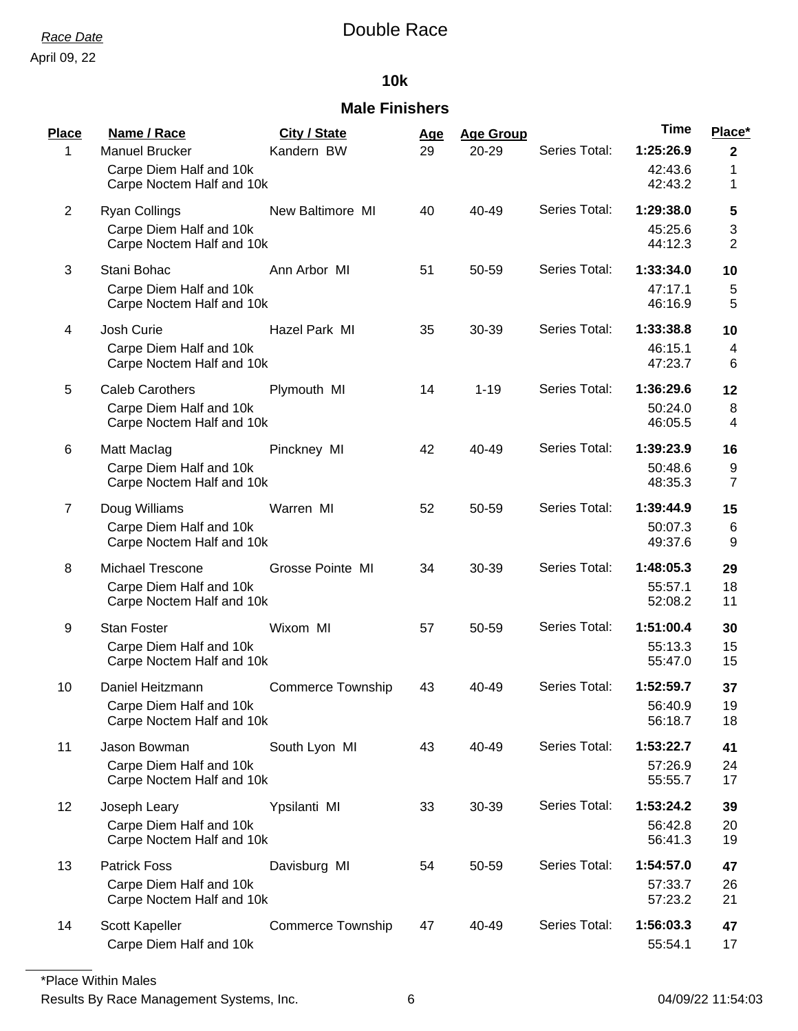#### **10k**

### **Male Finishers**

| Place          | Name / Race                                                                     | City / State             | Age | <b>Age Group</b> |               | <b>Time</b>                     | Place*                    |
|----------------|---------------------------------------------------------------------------------|--------------------------|-----|------------------|---------------|---------------------------------|---------------------------|
| 1              | <b>Manuel Brucker</b><br>Carpe Diem Half and 10k<br>Carpe Noctem Half and 10k   | Kandern BW               | 29  | 20-29            | Series Total: | 1:25:26.9<br>42:43.6<br>42:43.2 | $\mathbf 2$<br>1<br>1     |
| $\overline{2}$ | Ryan Collings<br>Carpe Diem Half and 10k<br>Carpe Noctem Half and 10k           | New Baltimore MI         | 40  | 40-49            | Series Total: | 1:29:38.0<br>45:25.6<br>44:12.3 | 5<br>3<br>$\overline{2}$  |
| 3              | Stani Bohac<br>Carpe Diem Half and 10k<br>Carpe Noctem Half and 10k             | Ann Arbor MI             | 51  | 50-59            | Series Total: | 1:33:34.0<br>47:17.1<br>46:16.9 | 10<br>5<br>5              |
| 4              | Josh Curie<br>Carpe Diem Half and 10k<br>Carpe Noctem Half and 10k              | Hazel Park MI            | 35  | 30-39            | Series Total: | 1:33:38.8<br>46:15.1<br>47:23.7 | 10<br>4<br>6              |
| 5              | <b>Caleb Carothers</b><br>Carpe Diem Half and 10k<br>Carpe Noctem Half and 10k  | Plymouth MI              | 14  | $1 - 19$         | Series Total: | 1:36:29.6<br>50:24.0<br>46:05.5 | 12<br>8<br>4              |
| 6              | Matt Maclag<br>Carpe Diem Half and 10k<br>Carpe Noctem Half and 10k             | Pinckney MI              | 42  | 40-49            | Series Total: | 1:39:23.9<br>50:48.6<br>48:35.3 | 16<br>9<br>$\overline{7}$ |
| $\overline{7}$ | Doug Williams<br>Carpe Diem Half and 10k<br>Carpe Noctem Half and 10k           | Warren MI                | 52  | 50-59            | Series Total: | 1:39:44.9<br>50:07.3<br>49:37.6 | 15<br>6<br>9              |
| 8              | <b>Michael Trescone</b><br>Carpe Diem Half and 10k<br>Carpe Noctem Half and 10k | Grosse Pointe MI         | 34  | 30-39            | Series Total: | 1:48:05.3<br>55:57.1<br>52:08.2 | 29<br>18<br>11            |
| 9              | <b>Stan Foster</b><br>Carpe Diem Half and 10k<br>Carpe Noctem Half and 10k      | Wixom MI                 | 57  | 50-59            | Series Total: | 1:51:00.4<br>55:13.3<br>55:47.0 | 30<br>15<br>15            |
| 10             | Daniel Heitzmann<br>Carpe Diem Half and 10k<br>Carpe Noctem Half and 10k        | <b>Commerce Township</b> | 43  | 40-49            | Series Total: | 1:52:59.7<br>56:40.9<br>56:18.7 | 37<br>19<br>18            |
| 11             | Jason Bowman<br>Carpe Diem Half and 10k<br>Carpe Noctem Half and 10k            | South Lyon MI            | 43  | 40-49            | Series Total: | 1:53:22.7<br>57:26.9<br>55:55.7 | 41<br>24<br>17            |
| 12             | Joseph Leary<br>Carpe Diem Half and 10k<br>Carpe Noctem Half and 10k            | Ypsilanti MI             | 33  | 30-39            | Series Total: | 1:53:24.2<br>56:42.8<br>56:41.3 | 39<br>20<br>19            |
| 13             | <b>Patrick Foss</b><br>Carpe Diem Half and 10k<br>Carpe Noctem Half and 10k     | Davisburg MI             | 54  | 50-59            | Series Total: | 1:54:57.0<br>57:33.7<br>57:23.2 | 47<br>26<br>21            |
| 14             | Scott Kapeller<br>Carpe Diem Half and 10k                                       | <b>Commerce Township</b> | 47  | 40-49            | Series Total: | 1:56:03.3<br>55:54.1            | 47<br>17                  |

\*Place Within Males

Results By Race Management Systems, Inc. 6 04/09/22 11:54:03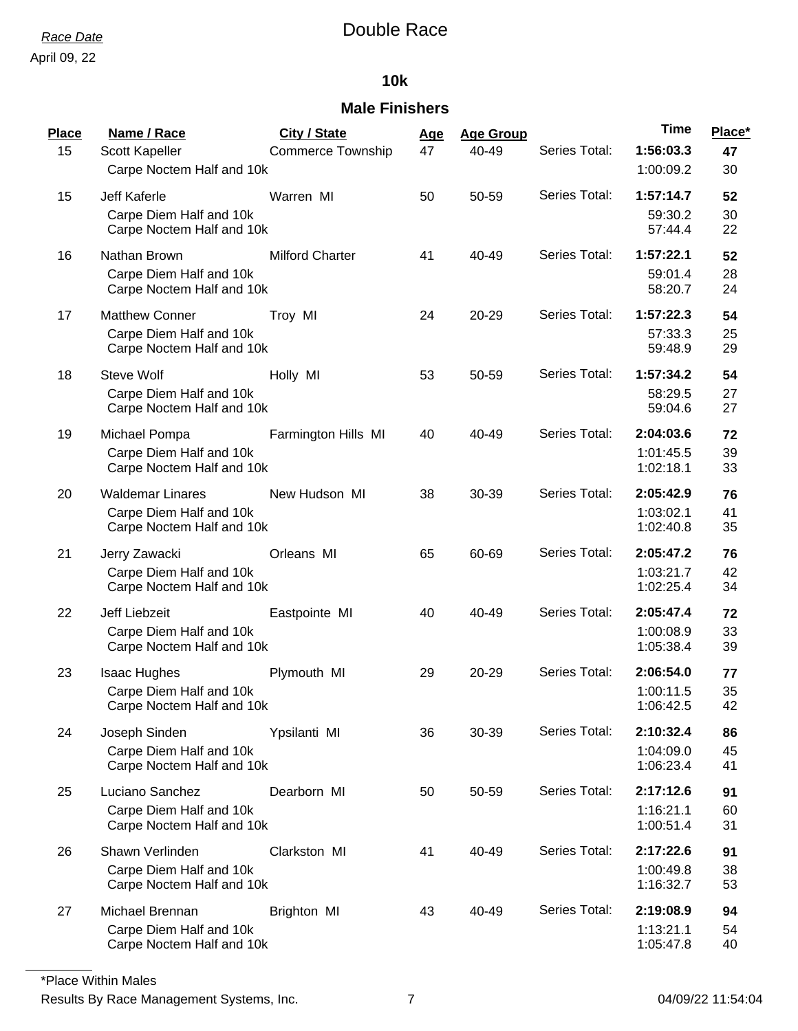#### **10k**

## **Male Finishers**

| Place | Name / Race                                                                     | City / State             | <u>Age</u> | <b>Age Group</b> |               | <b>Time</b>                         | Place*         |
|-------|---------------------------------------------------------------------------------|--------------------------|------------|------------------|---------------|-------------------------------------|----------------|
| 15    | Scott Kapeller<br>Carpe Noctem Half and 10k                                     | <b>Commerce Township</b> | 47         | 40-49            | Series Total: | 1:56:03.3<br>1:00:09.2              | 47<br>30       |
| 15    | <b>Jeff Kaferle</b><br>Carpe Diem Half and 10k<br>Carpe Noctem Half and 10k     | Warren MI                | 50         | 50-59            | Series Total: | 1:57:14.7<br>59:30.2<br>57:44.4     | 52<br>30<br>22 |
| 16    | Nathan Brown<br>Carpe Diem Half and 10k<br>Carpe Noctem Half and 10k            | <b>Milford Charter</b>   | 41         | 40-49            | Series Total: | 1:57:22.1<br>59:01.4<br>58:20.7     | 52<br>28<br>24 |
| 17    | <b>Matthew Conner</b><br>Carpe Diem Half and 10k<br>Carpe Noctem Half and 10k   | Troy MI                  | 24         | 20-29            | Series Total: | 1:57:22.3<br>57:33.3<br>59:48.9     | 54<br>25<br>29 |
| 18    | <b>Steve Wolf</b><br>Carpe Diem Half and 10k<br>Carpe Noctem Half and 10k       | Holly MI                 | 53         | 50-59            | Series Total: | 1:57:34.2<br>58:29.5<br>59:04.6     | 54<br>27<br>27 |
| 19    | Michael Pompa<br>Carpe Diem Half and 10k<br>Carpe Noctem Half and 10k           | Farmington Hills MI      | 40         | 40-49            | Series Total: | 2:04:03.6<br>1:01:45.5<br>1:02:18.1 | 72<br>39<br>33 |
| 20    | <b>Waldemar Linares</b><br>Carpe Diem Half and 10k<br>Carpe Noctem Half and 10k | New Hudson MI            | 38         | 30-39            | Series Total: | 2:05:42.9<br>1:03:02.1<br>1:02:40.8 | 76<br>41<br>35 |
| 21    | Jerry Zawacki<br>Carpe Diem Half and 10k<br>Carpe Noctem Half and 10k           | Orleans MI               | 65         | 60-69            | Series Total: | 2:05:47.2<br>1:03:21.7<br>1:02:25.4 | 76<br>42<br>34 |
| 22    | Jeff Liebzeit<br>Carpe Diem Half and 10k<br>Carpe Noctem Half and 10k           | Eastpointe MI            | 40         | 40-49            | Series Total: | 2:05:47.4<br>1:00:08.9<br>1:05:38.4 | 72<br>33<br>39 |
| 23    | <b>Isaac Hughes</b><br>Carpe Diem Half and 10k<br>Carpe Noctem Half and 10k     | Plymouth MI              | 29         | 20-29            | Series Total: | 2:06:54.0<br>1:00:11.5<br>1:06:42.5 | 77<br>35<br>42 |
| 24    | Joseph Sinden<br>Carpe Diem Half and 10k<br>Carpe Noctem Half and 10k           | Ypsilanti MI             | 36         | 30-39            | Series Total: | 2:10:32.4<br>1:04:09.0<br>1:06:23.4 | 86<br>45<br>41 |
| 25    | Luciano Sanchez<br>Carpe Diem Half and 10k<br>Carpe Noctem Half and 10k         | Dearborn MI              | 50         | 50-59            | Series Total: | 2:17:12.6<br>1:16:21.1<br>1:00:51.4 | 91<br>60<br>31 |
| 26    | Shawn Verlinden<br>Carpe Diem Half and 10k<br>Carpe Noctem Half and 10k         | Clarkston MI             | 41         | 40-49            | Series Total: | 2:17:22.6<br>1:00:49.8<br>1:16:32.7 | 91<br>38<br>53 |
| 27    | Michael Brennan<br>Carpe Diem Half and 10k<br>Carpe Noctem Half and 10k         | Brighton MI              | 43         | 40-49            | Series Total: | 2:19:08.9<br>1:13:21.1<br>1:05:47.8 | 94<br>54<br>40 |

\*Place Within Males

Results By Race Management Systems, Inc. 7 7 7 04/09/22 11:54:04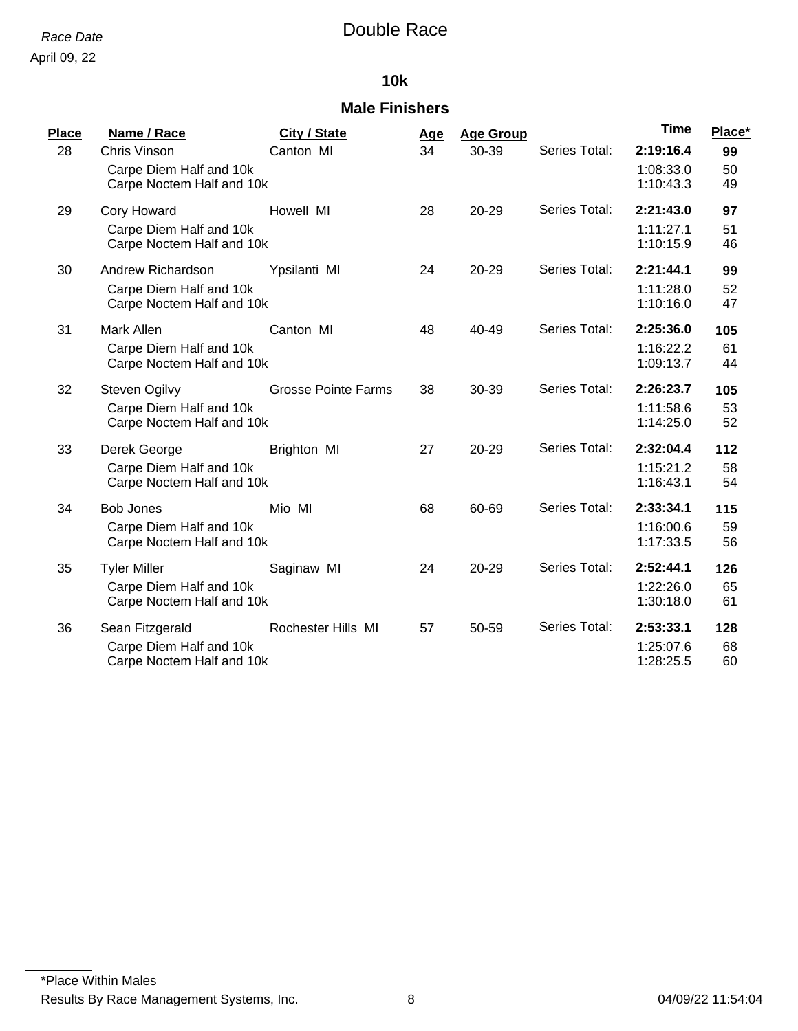#### **10k**

#### **Male Finishers**

| Place | Name / Race                                                                 | City / State               | <u>Age</u> | <b>Age Group</b> |               | <b>Time</b>                         | Place*          |
|-------|-----------------------------------------------------------------------------|----------------------------|------------|------------------|---------------|-------------------------------------|-----------------|
| 28    | <b>Chris Vinson</b><br>Carpe Diem Half and 10k<br>Carpe Noctem Half and 10k | Canton MI                  | 34         | 30-39            | Series Total: | 2:19:16.4<br>1:08:33.0<br>1:10:43.3 | 99<br>50<br>49  |
| 29    | Cory Howard<br>Carpe Diem Half and 10k<br>Carpe Noctem Half and 10k         | Howell MI                  | 28         | 20-29            | Series Total: | 2:21:43.0<br>1:11:27.1<br>1:10:15.9 | 97<br>51<br>46  |
| 30    | Andrew Richardson<br>Carpe Diem Half and 10k<br>Carpe Noctem Half and 10k   | Ypsilanti MI               | 24         | 20-29            | Series Total: | 2:21:44.1<br>1:11:28.0<br>1:10:16.0 | 99<br>52<br>47  |
| 31    | Mark Allen<br>Carpe Diem Half and 10k<br>Carpe Noctem Half and 10k          | Canton MI                  | 48         | 40-49            | Series Total: | 2:25:36.0<br>1:16:22.2<br>1:09:13.7 | 105<br>61<br>44 |
| 32    | Steven Ogilvy<br>Carpe Diem Half and 10k<br>Carpe Noctem Half and 10k       | <b>Grosse Pointe Farms</b> | 38         | 30-39            | Series Total: | 2:26:23.7<br>1:11:58.6<br>1:14:25.0 | 105<br>53<br>52 |
| 33    | Derek George<br>Carpe Diem Half and 10k<br>Carpe Noctem Half and 10k        | Brighton MI                | 27         | 20-29            | Series Total: | 2:32:04.4<br>1:15:21.2<br>1:16:43.1 | 112<br>58<br>54 |
| 34    | <b>Bob Jones</b><br>Carpe Diem Half and 10k<br>Carpe Noctem Half and 10k    | Mio MI                     | 68         | 60-69            | Series Total: | 2:33:34.1<br>1:16:00.6<br>1:17:33.5 | 115<br>59<br>56 |
| 35    | <b>Tyler Miller</b><br>Carpe Diem Half and 10k<br>Carpe Noctem Half and 10k | Saginaw MI                 | 24         | 20-29            | Series Total: | 2:52:44.1<br>1:22:26.0<br>1:30:18.0 | 126<br>65<br>61 |
| 36    | Sean Fitzgerald<br>Carpe Diem Half and 10k<br>Carpe Noctem Half and 10k     | Rochester Hills MI         | 57         | 50-59            | Series Total: | 2:53:33.1<br>1:25:07.6<br>1:28:25.5 | 128<br>68<br>60 |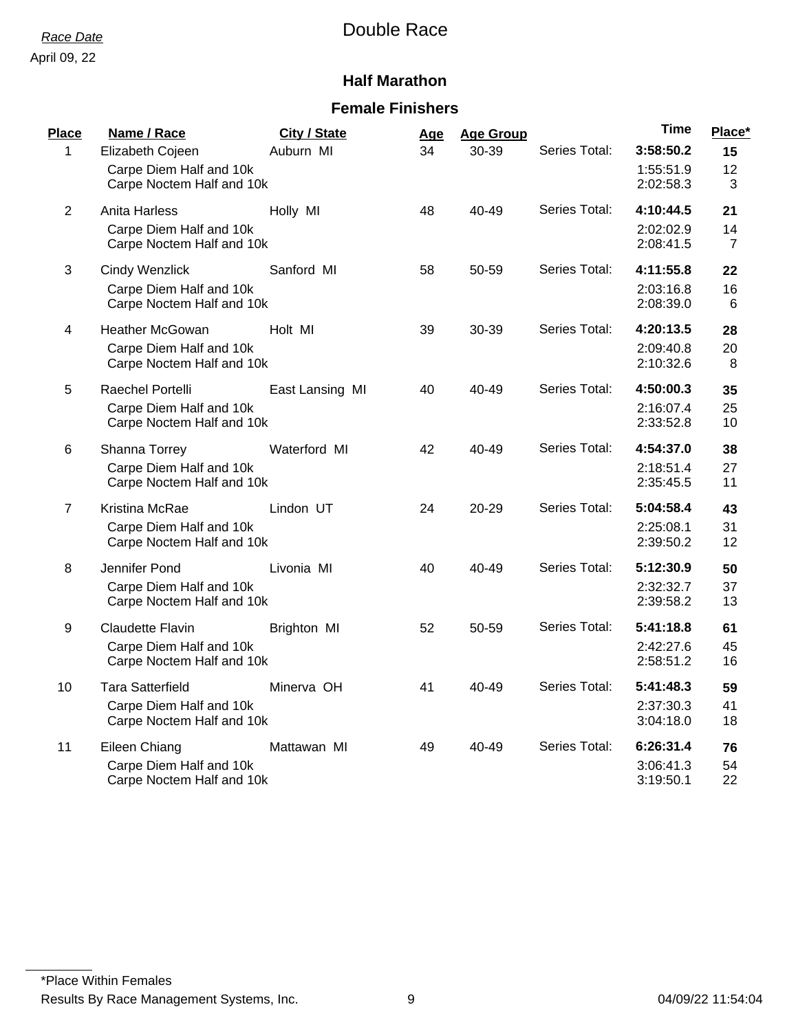#### April 09, 22

#### **Half Marathon**

### **Female Finishers**

| Place<br>1     | Name / Race<br>Elizabeth Cojeen<br>Carpe Diem Half and 10k<br>Carpe Noctem Half and 10k | <b>City / State</b><br>Auburn MI | <u>Age</u><br>34 | <b>Age Group</b><br>30-39 | Series Total: | <b>Time</b><br>3:58:50.2<br>1:55:51.9<br>2:02:58.3 | Place*<br>15<br>12<br>3 |
|----------------|-----------------------------------------------------------------------------------------|----------------------------------|------------------|---------------------------|---------------|----------------------------------------------------|-------------------------|
| $\overline{2}$ | Anita Harless<br>Carpe Diem Half and 10k<br>Carpe Noctem Half and 10k                   | Holly MI                         | 48               | 40-49                     | Series Total: | 4:10:44.5<br>2:02:02.9<br>2:08:41.5                | 21<br>14<br>7           |
| 3              | <b>Cindy Wenzlick</b><br>Carpe Diem Half and 10k<br>Carpe Noctem Half and 10k           | Sanford MI                       | 58               | 50-59                     | Series Total: | 4:11:55.8<br>2:03:16.8<br>2:08:39.0                | 22<br>16<br>6           |
| 4              | <b>Heather McGowan</b><br>Carpe Diem Half and 10k<br>Carpe Noctem Half and 10k          | Holt MI                          | 39               | 30-39                     | Series Total: | 4:20:13.5<br>2:09:40.8<br>2:10:32.6                | 28<br>20<br>8           |
| 5              | Raechel Portelli<br>Carpe Diem Half and 10k<br>Carpe Noctem Half and 10k                | East Lansing MI                  | 40               | 40-49                     | Series Total: | 4:50:00.3<br>2:16:07.4<br>2:33:52.8                | 35<br>25<br>10          |
| 6              | Shanna Torrey<br>Carpe Diem Half and 10k<br>Carpe Noctem Half and 10k                   | Waterford MI                     | 42               | 40-49                     | Series Total: | 4:54:37.0<br>2:18:51.4<br>2:35:45.5                | 38<br>27<br>11          |
| $\overline{7}$ | Kristina McRae<br>Carpe Diem Half and 10k<br>Carpe Noctem Half and 10k                  | Lindon UT                        | 24               | 20-29                     | Series Total: | 5:04:58.4<br>2:25:08.1<br>2:39:50.2                | 43<br>31<br>12          |
| 8              | Jennifer Pond<br>Carpe Diem Half and 10k<br>Carpe Noctem Half and 10k                   | Livonia MI                       | 40               | 40-49                     | Series Total: | 5:12:30.9<br>2:32:32.7<br>2:39:58.2                | 50<br>37<br>13          |
| 9              | <b>Claudette Flavin</b><br>Carpe Diem Half and 10k<br>Carpe Noctem Half and 10k         | Brighton MI                      | 52               | 50-59                     | Series Total: | 5:41:18.8<br>2:42:27.6<br>2:58:51.2                | 61<br>45<br>16          |
| 10             | <b>Tara Satterfield</b><br>Carpe Diem Half and 10k<br>Carpe Noctem Half and 10k         | Minerva OH                       | 41               | 40-49                     | Series Total: | 5:41:48.3<br>2:37:30.3<br>3:04:18.0                | 59<br>41<br>18          |
| 11             | Eileen Chiang<br>Carpe Diem Half and 10k<br>Carpe Noctem Half and 10k                   | Mattawan MI                      | 49               | 40-49                     | Series Total: | 6:26:31.4<br>3:06:41.3<br>3:19:50.1                | 76<br>54<br>22          |